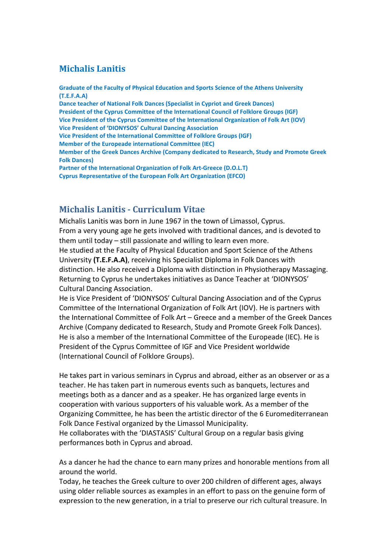## **Michalis Lanitis**

**Graduate of the Faculty of Physical Education and Sports Science of the Athens University (T.E.F.A.A) Dance teacher of National Folk Dances (Specialist in Cypriot and Greek Dances) President of the Cyprus Committee of the International Council of Folklore Groups (IGF) Vice President of the Cyprus Committee of the International Organization of Folk Art (IOV) Vice President of 'DIONYSOS' Cultural Dancing Association Vice President of the International Committee of Folklore Groups (IGF) Member of the Europeade international Committee (IEC) Member of the Greek Dances Archive (Company dedicated to Research, Study and Promote Greek Folk Dances) Partner of the International Organization of Folk Art-Greece (D.O.L.T) Cyprus Representative of the European Folk Art Organization (EFCO)** 

## **Michalis Lanitis - Curriculum Vitae**

Michalis Lanitis was born in June 1967 in the town of Limassol, Cyprus. From a very young age he gets involved with traditional dances, and is devoted to them until today – still passionate and willing to learn even more. He studied at the Faculty of Physical Education and Sport Science of the Athens University **(T.E.F.A.A)**, receiving his Specialist Diploma in Folk Dances with distinction. He also received a Diploma with distinction in Physiotherapy Massaging. Returning to Cyprus he undertakes initiatives as Dance Teacher at 'DIONYSOS' Cultural Dancing Association.

He is Vice President of 'DIONYSOS' Cultural Dancing Association and of the Cyprus Committee of the International Organization of Folk Art (IOV). He is partners with the International Committee of Folk Art – Greece and a member of the Greek Dances Archive (Company dedicated to Research, Study and Promote Greek Folk Dances). He is also a member of the International Committee of the Europeade (IEC). He is President of the Cyprus Committee of IGF and Vice President worldwide (International Council of Folklore Groups).

He takes part in various seminars in Cyprus and abroad, either as an observer or as a teacher. He has taken part in numerous events such as banquets, lectures and meetings both as a dancer and as a speaker. He has organized large events in cooperation with various supporters of his valuable work. As a member of the Organizing Committee, he has been the artistic director of the 6 Euromediterranean Folk Dance Festival organized by the Limassol Municipality.

He collaborates with the 'DIASTASIS' Cultural Group on a regular basis giving performances both in Cyprus and abroad.

As a dancer he had the chance to earn many prizes and honorable mentions from all around the world.

Today, he teaches the Greek culture to over 200 children of different ages, always using older reliable sources as examples in an effort to pass on the genuine form of expression to the new generation, in a trial to preserve our rich cultural treasure. In